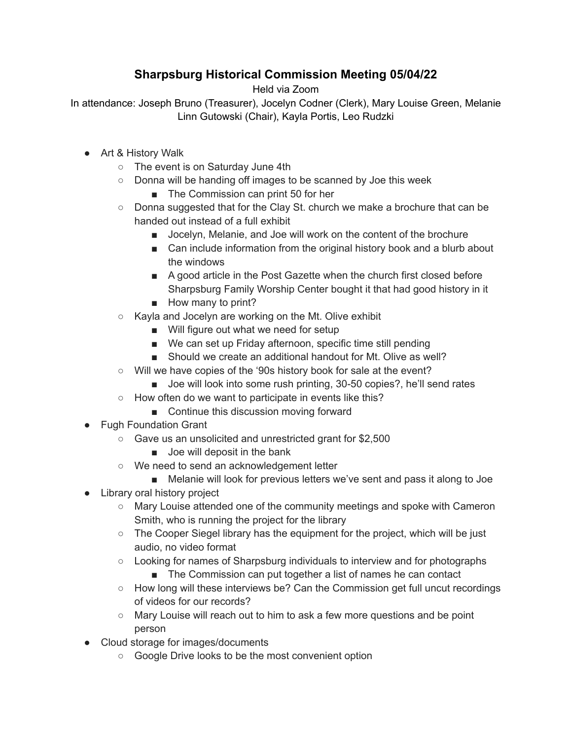## **Sharpsburg Historical Commission Meeting 05/04/22**

Held via Zoom

In attendance: Joseph Bruno (Treasurer), Jocelyn Codner (Clerk), Mary Louise Green, Melanie Linn Gutowski (Chair), Kayla Portis, Leo Rudzki

- Art & History Walk
	- The event is on Saturday June 4th
	- Donna will be handing off images to be scanned by Joe this week
		- The Commission can print 50 for her
	- $\circ$  Donna suggested that for the Clay St. church we make a brochure that can be handed out instead of a full exhibit
		- Jocelyn, Melanie, and Joe will work on the content of the brochure
		- Can include information from the original history book and a blurb about the windows
		- A good article in the Post Gazette when the church first closed before Sharpsburg Family Worship Center bought it that had good history in it
		- How many to print?
	- Kayla and Jocelyn are working on the Mt. Olive exhibit
		- Will figure out what we need for setup
		- We can set up Friday afternoon, specific time still pending
		- Should we create an additional handout for Mt. Olive as well?
	- Will we have copies of the '90s history book for sale at the event?
		- Joe will look into some rush printing, 30-50 copies?, he'll send rates
	- How often do we want to participate in events like this?
		- Continue this discussion moving forward
- Fugh Foundation Grant
	- Gave us an unsolicited and unrestricted grant for \$2,500
		- Joe will deposit in the bank
	- We need to send an acknowledgement letter
		- Melanie will look for previous letters we've sent and pass it along to Joe
- Library oral history project
	- Mary Louise attended one of the community meetings and spoke with Cameron Smith, who is running the project for the library
	- The Cooper Siegel library has the equipment for the project, which will be just audio, no video format
	- Looking for names of Sharpsburg individuals to interview and for photographs
		- The Commission can put together a list of names he can contact
	- How long will these interviews be? Can the Commission get full uncut recordings of videos for our records?
	- Mary Louise will reach out to him to ask a few more questions and be point person
- Cloud storage for images/documents
	- Google Drive looks to be the most convenient option